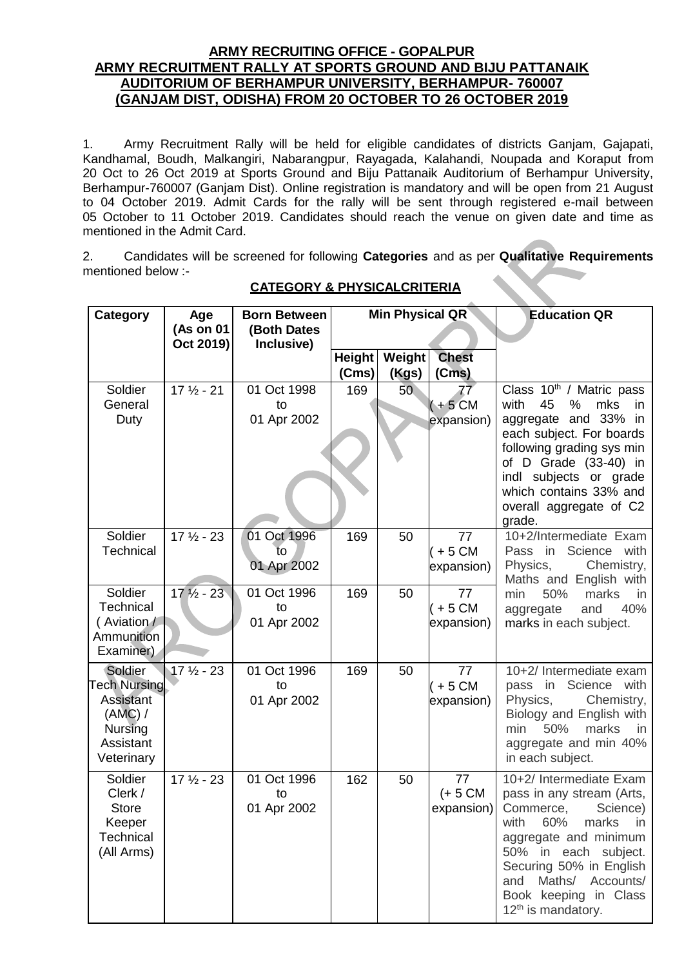## **ARMY RECRUITING OFFICE - GOPALPUR ARMY RECRUITMENT RALLY AT SPORTS GROUND AND BIJU PATTANAIK AUDITORIUM OF BERHAMPUR UNIVERSITY, BERHAMPUR- 760007 (GANJAM DIST, ODISHA) FROM 20 OCTOBER TO 26 OCTOBER 2019**

1. Army Recruitment Rally will be held for eligible candidates of districts Ganjam, Gajapati, Kandhamal, Boudh, Malkangiri, Nabarangpur, Rayagada, Kalahandi, Noupada and Koraput from 20 Oct to 26 Oct 2019 at Sports Ground and Biju Pattanaik Auditorium of Berhampur University, Berhampur-760007 (Ganjam Dist). Online registration is mandatory and will be open from 21 August to 04 October 2019. Admit Cards for the rally will be sent through registered e-mail between 05 October to 11 October 2019. Candidates should reach the venue on given date and time as mentioned in the Admit Card.

2. Candidates will be screened for following **Categories** and as per **Qualitative Requirements**  mentioned below :-

| Category                                                                                            | Age<br>(As on 01     | <b>Born Between</b><br>(Both Dates | Min Physical QR |                 |                                           | <b>Education QR</b>                                                                                                                                                                                                                                                  |
|-----------------------------------------------------------------------------------------------------|----------------------|------------------------------------|-----------------|-----------------|-------------------------------------------|----------------------------------------------------------------------------------------------------------------------------------------------------------------------------------------------------------------------------------------------------------------------|
|                                                                                                     | Oct 2019)            | Inclusive)                         |                 |                 |                                           |                                                                                                                                                                                                                                                                      |
|                                                                                                     |                      |                                    |                 | Height   Weight | <b>Chest</b>                              |                                                                                                                                                                                                                                                                      |
|                                                                                                     |                      |                                    | (Cms)           | (Kgs)           | (Cms)                                     |                                                                                                                                                                                                                                                                      |
| Soldier<br>General<br>Duty                                                                          | $17\frac{1}{2} - 21$ | 01 Oct 1998<br>to<br>01 Apr 2002   | 169             | 50              | $7\overline{7}$<br>$(+5$ CM<br>expansion) | Class 10 <sup>th</sup> / Matric pass<br>with<br>45<br>%<br>mks<br>in.<br>aggregate and 33% in<br>each subject. For boards<br>following grading sys min<br>of D Grade (33-40) in<br>indl subjects or grade                                                            |
|                                                                                                     |                      |                                    |                 |                 |                                           | which contains 33% and<br>overall aggregate of C2<br>grade.                                                                                                                                                                                                          |
| Soldier<br>Technical                                                                                | $17\frac{1}{2} - 23$ | 01 Oct 1996<br>īο<br>01 Apr 2002   | 169             | 50              | 77<br>$+5$ CM<br>expansion)               | 10+2/Intermediate Exam<br>Science with<br>Pass in<br>Physics,<br>Chemistry,<br>Maths and English with                                                                                                                                                                |
| Soldier<br>Technical<br>(Aviation /<br>Ammunition<br>Examiner)                                      | $17\frac{1}{2} - 23$ | 01 Oct 1996<br>to<br>01 Apr 2002   | 169             | 50              | 77<br>$(+ 5 CM)$<br>expansion)            | 50%<br>marks<br>min<br>in<br>and<br>40%<br>aggregate<br>marks in each subject.                                                                                                                                                                                       |
| Soldier<br><b>Tech Nursing</b><br><b>Assistant</b><br>(AMC) /<br>Nursing<br>Assistant<br>Veterinary | $17\frac{1}{2} - 23$ | 01 Oct 1996<br>to<br>01 Apr 2002   | 169             | 50              | 77<br>$+5$ CM<br>expansion)               | 10+2/ Intermediate exam<br>Science with<br>pass in<br>Physics,<br>Chemistry,<br>Biology and English with<br>50%<br>marks<br>min<br>in.<br>aggregate and min 40%<br>in each subject.                                                                                  |
| Soldier<br>Clerk /<br><b>Store</b><br>Keeper<br><b>Technical</b><br>(All Arms)                      | $17\frac{1}{2} - 23$ | 01 Oct 1996<br>to<br>01 Apr 2002   | 162             | 50              | 77<br>$(+ 5 CM)$<br>expansion)            | 10+2/ Intermediate Exam<br>pass in any stream (Arts,<br>Commerce,<br>Science)<br>with 60% marks in<br>aggregate and minimum<br>50% in each subject.<br>Securing 50% in English<br>Maths/ Accounts/<br>and<br>Book keeping in Class<br>12 <sup>th</sup> is mandatory. |

## **CATEGORY & PHYSICALCRITERIA**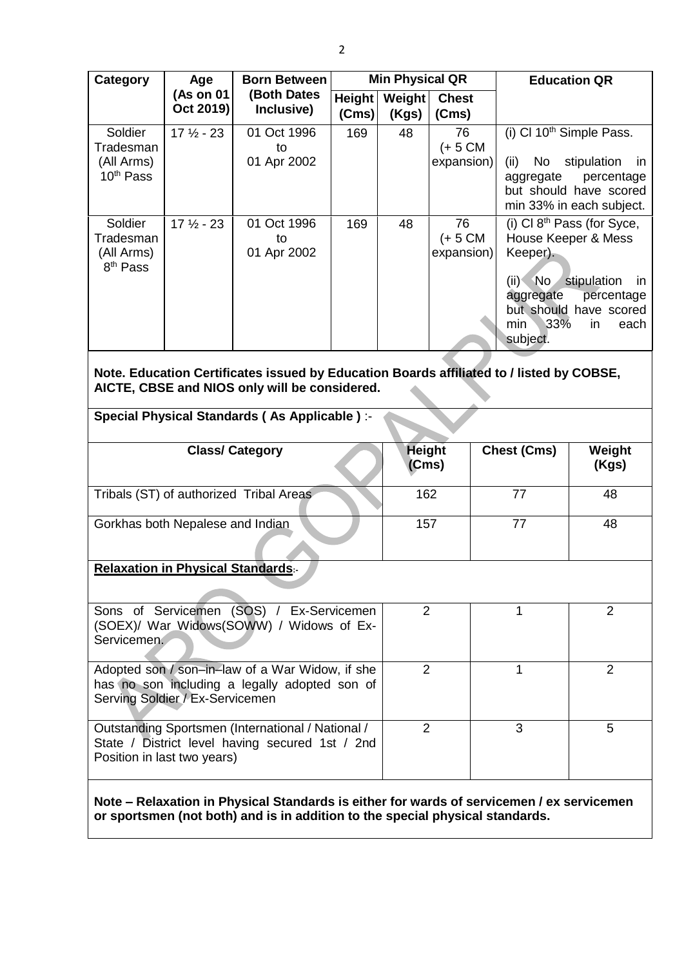| Category                                                                                                                                                                   | <b>Min Physical QR</b><br><b>Born Between</b><br>Age |                                                                                                                                           |                        |                        |                                                                                                                                               |                                                                                                                                                        | <b>Education QR</b>             |
|----------------------------------------------------------------------------------------------------------------------------------------------------------------------------|------------------------------------------------------|-------------------------------------------------------------------------------------------------------------------------------------------|------------------------|------------------------|-----------------------------------------------------------------------------------------------------------------------------------------------|--------------------------------------------------------------------------------------------------------------------------------------------------------|---------------------------------|
|                                                                                                                                                                            | (As on 01<br>Oct 2019)                               | (Both Dates<br>Inclusive)                                                                                                                 | <b>Height</b><br>(Cms) | Weight<br>(Kgs)        | <b>Chest</b><br>(Cms)                                                                                                                         |                                                                                                                                                        |                                 |
| Soldier<br>Tradesman<br>(All Arms)<br>10 <sup>th</sup> Pass                                                                                                                | $17\frac{1}{2} - 23$                                 | 01 Oct 1996<br>to<br>01 Apr 2002                                                                                                          | 169                    | 48                     | (i) Cl $10th$ Simple Pass.<br>76<br>$(+ 5 CM)$<br>No<br>expansion)<br>(ii)<br>aggregate<br>but should have scored<br>min 33% in each subject. |                                                                                                                                                        | stipulation<br>in<br>percentage |
| Soldier<br>Tradesman<br>(All Arms)<br>8 <sup>th</sup> Pass                                                                                                                 | $17\frac{1}{2} - 23$                                 | 01 Oct 1996<br>to<br>01 Apr 2002                                                                                                          | 169                    | 48                     | 76<br>$(+ 5 CM)$<br>expansion)                                                                                                                | (i) Cl $8th$ Pass (for Syce,<br>House Keeper & Mess<br>Keeper).<br>$(ii)$ No<br>stipulation<br>in<br>aggregate<br>percentage<br>but should have scored |                                 |
|                                                                                                                                                                            |                                                      |                                                                                                                                           |                        |                        |                                                                                                                                               | 33%<br>min<br>subject.                                                                                                                                 | in<br>each                      |
|                                                                                                                                                                            |                                                      | Note. Education Certificates issued by Education Boards affiliated to / listed by COBSE,<br>AICTE, CBSE and NIOS only will be considered. |                        |                        |                                                                                                                                               |                                                                                                                                                        |                                 |
|                                                                                                                                                                            |                                                      | Special Physical Standards (As Applicable) :-                                                                                             |                        |                        |                                                                                                                                               |                                                                                                                                                        |                                 |
|                                                                                                                                                                            |                                                      | <b>Class/ Category</b>                                                                                                                    |                        | <b>Height</b><br>(Cms) |                                                                                                                                               | <b>Chest (Cms)</b>                                                                                                                                     | Weight<br>(Kgs)                 |
|                                                                                                                                                                            |                                                      | Tribals (ST) of authorized Tribal Areas                                                                                                   |                        | 162                    |                                                                                                                                               | 77                                                                                                                                                     | 48                              |
| Gorkhas both Nepalese and Indian                                                                                                                                           |                                                      |                                                                                                                                           |                        | 157                    |                                                                                                                                               | 77                                                                                                                                                     | 48                              |
| <b>Relaxation in Physical Standards:-</b>                                                                                                                                  |                                                      |                                                                                                                                           |                        |                        |                                                                                                                                               |                                                                                                                                                        |                                 |
| Sons of Servicemen (SOS) / Ex-Servicemen<br>$\overline{2}$<br>2<br>1<br>(SOEX)/ War Widows(SOWW) / Widows of Ex-<br>Servicemen.                                            |                                                      |                                                                                                                                           |                        |                        |                                                                                                                                               |                                                                                                                                                        |                                 |
| Adopted son / son-in-law of a War Widow, if she<br>has no son including a legally adopted son of<br>Serving Soldier / Ex-Servicemen                                        |                                                      |                                                                                                                                           |                        |                        | $\overline{2}$                                                                                                                                | 1                                                                                                                                                      | $\overline{2}$                  |
| Outstanding Sportsmen (International / National /<br>State / District level having secured 1st / 2nd<br>Position in last two years)                                        |                                                      |                                                                                                                                           |                        | 2                      |                                                                                                                                               | 3                                                                                                                                                      | 5                               |
| Note – Relaxation in Physical Standards is either for wards of servicemen / ex servicemen<br>or sportsmen (not both) and is in addition to the special physical standards. |                                                      |                                                                                                                                           |                        |                        |                                                                                                                                               |                                                                                                                                                        |                                 |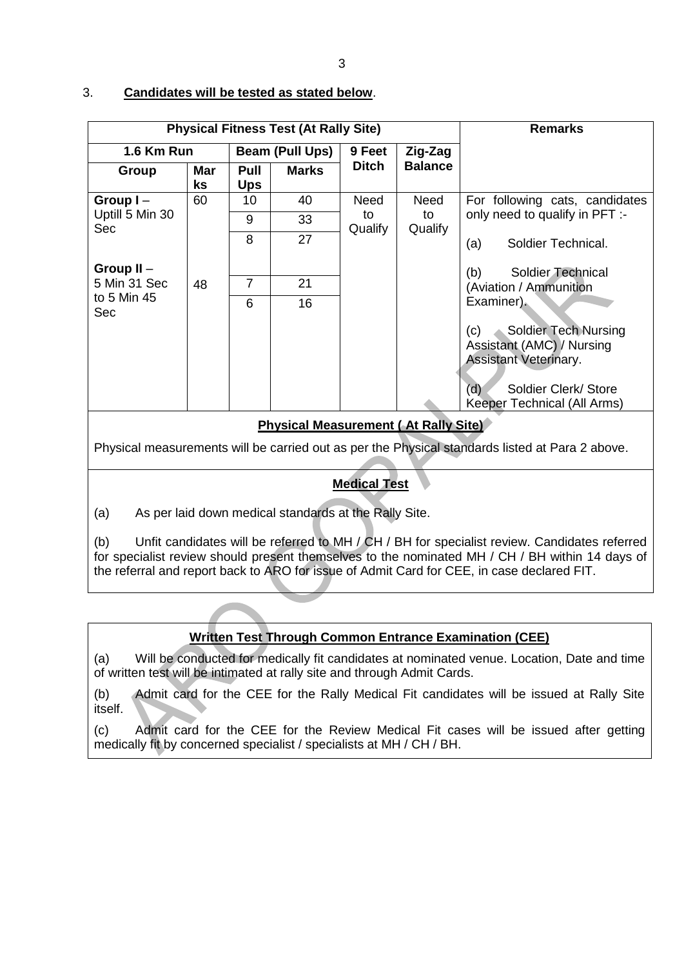### 3. **Candidates will be tested as stated below**.

| <b>Physical Fitness Test (At Rally Site)</b> |                  |                    |              |                                |             | <b>Remarks</b>                                                                                  |  |  |
|----------------------------------------------|------------------|--------------------|--------------|--------------------------------|-------------|-------------------------------------------------------------------------------------------------|--|--|
| 1.6 Km Run                                   |                  | Beam (Pull Ups)    |              | 9 Feet                         | Zig-Zag     |                                                                                                 |  |  |
| Group                                        | <b>Mar</b><br>ks | Pull<br><b>Ups</b> | <b>Marks</b> | <b>Balance</b><br><b>Ditch</b> |             |                                                                                                 |  |  |
| Group $I -$                                  | 60               | 10                 | 40           | <b>Need</b>                    | <b>Need</b> | For following cats, candidates                                                                  |  |  |
| Uptill 5 Min 30<br><b>Sec</b>                |                  | 9                  | 33           | to<br>Qualify                  | to          | only need to qualify in PFT :-                                                                  |  |  |
|                                              |                  | 8                  | 27           |                                | Qualify     | Soldier Technical.<br>(a)                                                                       |  |  |
| Group $II -$                                 |                  |                    |              |                                |             | (b)<br><b>Soldier Technical</b>                                                                 |  |  |
| 5 Min 31 Sec                                 | 48               | 7                  | 21           |                                |             | (Aviation / Ammunition                                                                          |  |  |
| to 5 Min 45<br>Sec                           |                  | 6                  | 16           |                                |             | Examiner).                                                                                      |  |  |
|                                              |                  |                    |              |                                |             | <b>Soldier Tech Nursing</b><br>(c)<br>Assistant (AMC) / Nursing<br><b>Assistant Veterinary.</b> |  |  |
|                                              |                  |                    |              |                                |             | Soldier Clerk/ Store<br>(d)<br>Keeper Technical (All Arms)                                      |  |  |
| <b>Physical Measurement (At Rally Site)</b>  |                  |                    |              |                                |             |                                                                                                 |  |  |

Physical measurements will be carried out as per the Physical standards listed at Para 2 above.

# **Medical Test**

(a) As per laid down medical standards at the Rally Site.

(b) Unfit candidates will be referred to MH / CH / BH for specialist review. Candidates referred for specialist review should present themselves to the nominated MH / CH / BH within 14 days of the referral and report back to ARO for issue of Admit Card for CEE, in case declared FIT.

# **Written Test Through Common Entrance Examination (CEE)**

(a) Will be conducted for medically fit candidates at nominated venue. Location, Date and time of written test will be intimated at rally site and through Admit Cards.

(b) Admit card for the CEE for the Rally Medical Fit candidates will be issued at Rally Site itself.

(c) Admit card for the CEE for the Review Medical Fit cases will be issued after getting medically fit by concerned specialist / specialists at MH / CH / BH.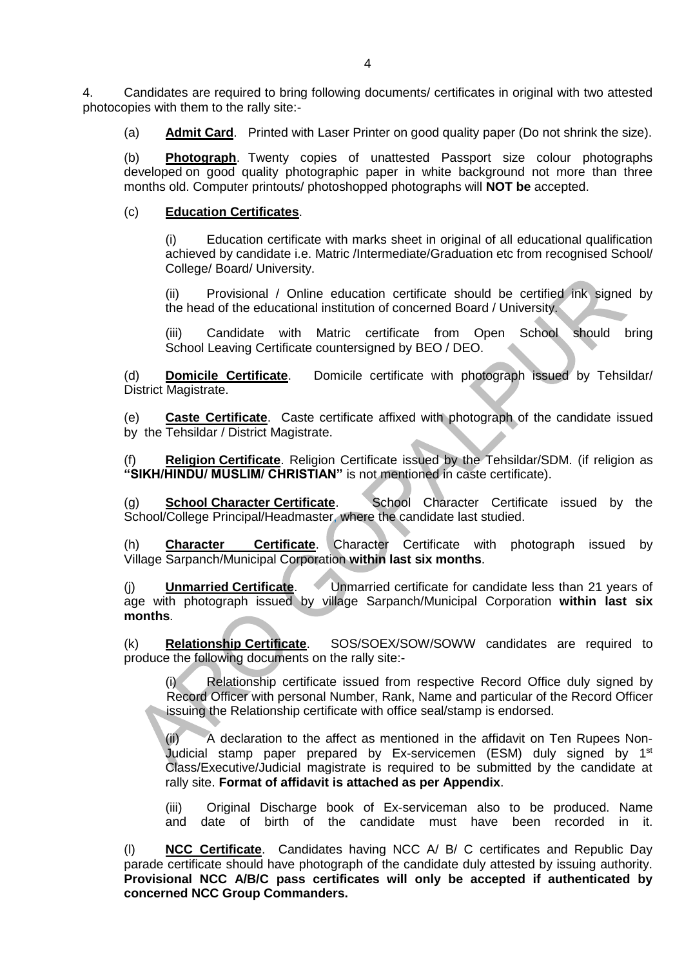4. Candidates are required to bring following documents/ certificates in original with two attested photocopies with them to the rally site:-

(a) **Admit Card**. Printed with Laser Printer on good quality paper (Do not shrink the size).

(b) **Photograph**. Twenty copies of unattested Passport size colour photographs developed on good quality photographic paper in white background not more than three months old. Computer printouts/ photoshopped photographs will **NOT be** accepted.

### (c) **Education Certificates**.

(i) Education certificate with marks sheet in original of all educational qualification achieved by candidate i.e. Matric /Intermediate/Graduation etc from recognised School/ College/ Board/ University.

(ii) Provisional / Online education certificate should be certified ink signed by the head of the educational institution of concerned Board / University.

(iii) Candidate with Matric certificate from Open School should bring School Leaving Certificate countersigned by BEO / DEO.

(d) **Domicile Certificate**. Domicile certificate with photograph issued by Tehsildar/ District Magistrate.

(e) **Caste Certificate**. Caste certificate affixed with photograph of the candidate issued by the Tehsildar / District Magistrate.

**Religion Certificate**. Religion Certificate issued by the Tehsildar/SDM. (if religion as **"SIKH/HINDU/ MUSLIM/ CHRISTIAN"** is not mentioned in caste certificate).

(g) **School Character Certificate**. School Character Certificate issued by the School/College Principal/Headmaster, where the candidate last studied.

(h) **Character Certificate**. Character Certificate with photograph issued by Village Sarpanch/Municipal Corporation **within last six months**.

(j) **Unmarried Certificate**. Unmarried certificate for candidate less than 21 years of age with photograph issued by village Sarpanch/Municipal Corporation **within last six months**.

(k) **Relationship Certificate**. SOS/SOEX/SOW/SOWW candidates are required to produce the following documents on the rally site:-

(i) Relationship certificate issued from respective Record Office duly signed by Record Officer with personal Number, Rank, Name and particular of the Record Officer issuing the Relationship certificate with office seal/stamp is endorsed.

(ii) A declaration to the affect as mentioned in the affidavit on Ten Rupees Non-Judicial stamp paper prepared by Ex-servicemen (ESM) duly signed by 1<sup>st</sup> Class/Executive/Judicial magistrate is required to be submitted by the candidate at rally site. **Format of affidavit is attached as per Appendix**.

(iii) Original Discharge book of Ex-serviceman also to be produced. Name and date of birth of the candidate must have been recorded in it.

(l) **NCC Certificate**. Candidates having NCC A/ B/ C certificates and Republic Day parade certificate should have photograph of the candidate duly attested by issuing authority. **Provisional NCC A/B/C pass certificates will only be accepted if authenticated by concerned NCC Group Commanders.**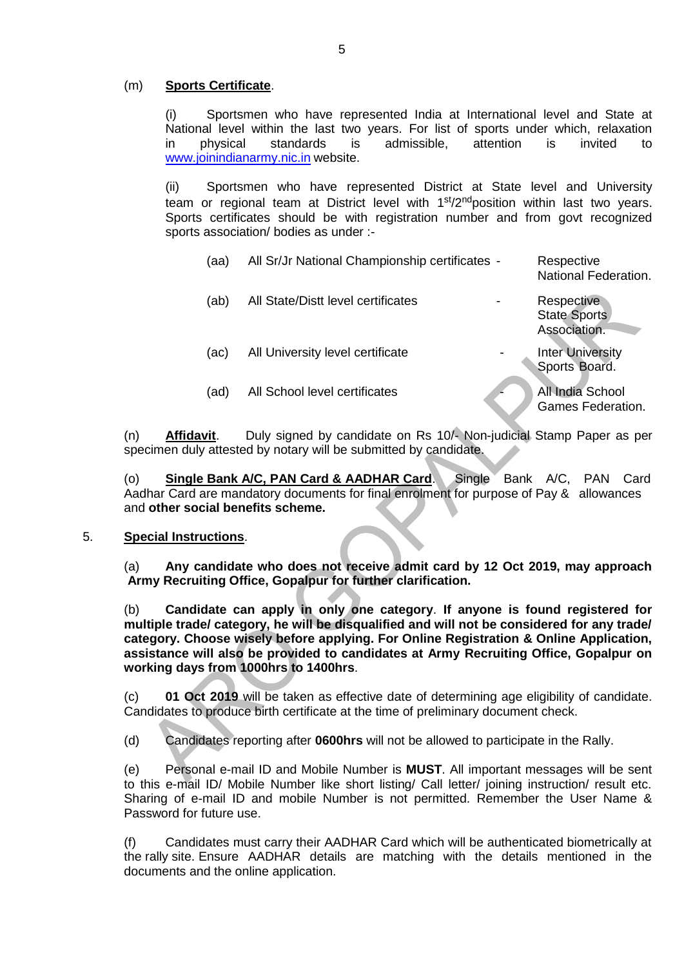### (m) **Sports Certificate**.

(i) Sportsmen who have represented India at International level and State at National level within the last two years. For list of sports under which, relaxation in physical standards is admissible, attention is invited to [www.joinindianarmy.nic.in](http://www.joinindianarmy.nic.in/) website.

(ii) Sportsmen who have represented District at State level and University team or regional team at District level with  $1<sup>st</sup>/2<sup>nd</sup>$  position within last two vears. Sports certificates should be with registration number and from govt recognized sports association/ bodies as under :-

| (aa) | All Sr/Jr National Championship certificates - | Respective<br>National Federation.                |
|------|------------------------------------------------|---------------------------------------------------|
| (ab) | All State/Distt level certificates             | Respective<br><b>State Sports</b><br>Association. |
| (ac) | All University level certificate               | <b>Inter University</b><br>Sports Board.          |
| (ad) | All School level certificates                  | All India School<br>Games Federation.             |

(n) **Affidavit**. Duly signed by candidate on Rs 10/- Non-judicial Stamp Paper as per specimen duly attested by notary will be submitted by candidate.

(o) **Single Bank A/C, PAN Card & AADHAR Card**. Single Bank A/C, PAN Card Aadhar Card are mandatory documents for final enrolment for purpose of Pay & allowances and **other social benefits scheme.** 

#### 5. **Special Instructions**.

(a) **Any candidate who does not receive admit card by 12 Oct 2019, may approach Army Recruiting Office, Gopalpur for further clarification.**

(b) **Candidate can apply in only one category**. **If anyone is found registered for multiple trade/ category, he will be disqualified and will not be considered for any trade/ category. Choose wisely before applying. For Online Registration & Online Application, assistance will also be provided to candidates at Army Recruiting Office, Gopalpur on working days from 1000hrs to 1400hrs**.

(c) **01 Oct 2019** will be taken as effective date of determining age eligibility of candidate. Candidates to produce birth certificate at the time of preliminary document check.

(d) Candidates reporting after **0600hrs** will not be allowed to participate in the Rally.

(e) Personal e-mail ID and Mobile Number is **MUST**. All important messages will be sent to this e-mail ID/ Mobile Number like short listing/ Call letter/ joining instruction/ result etc. Sharing of e-mail ID and mobile Number is not permitted. Remember the User Name & Password for future use.

(f) Candidates must carry their AADHAR Card which will be authenticated biometrically at the rally site. Ensure AADHAR details are matching with the details mentioned in the documents and the online application.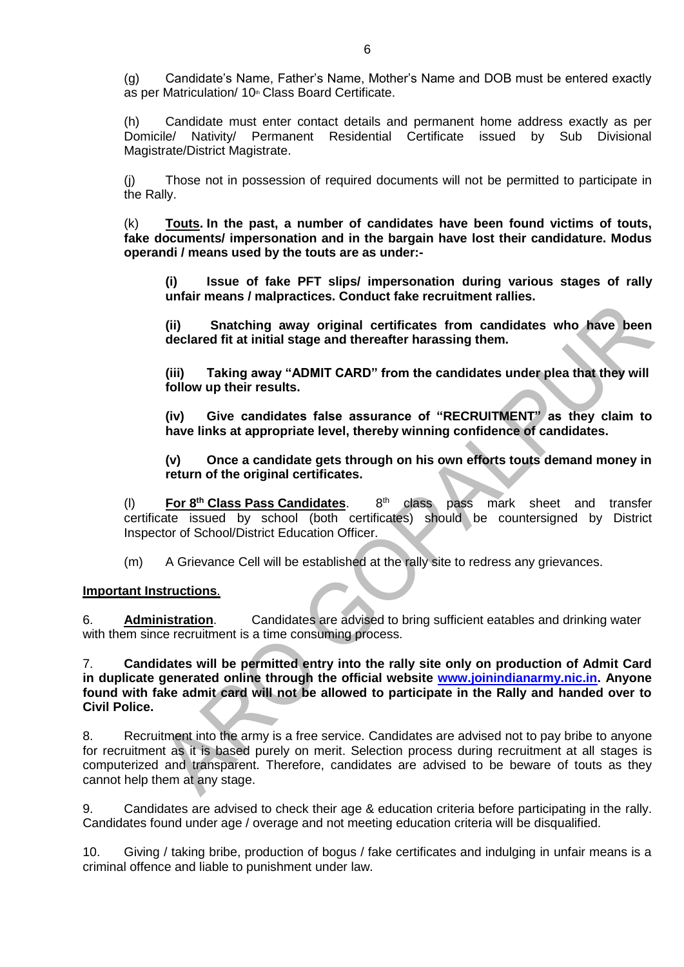(g) Candidate's Name, Father's Name, Mother's Name and DOB must be entered exactly as per Matriculation/ 10th Class Board Certificate.

(h) Candidate must enter contact details and permanent home address exactly as per Domicile/ Nativity/ Permanent Residential Certificate issued by Sub Divisional Magistrate/District Magistrate.

(j) Those not in possession of required documents will not be permitted to participate in the Rally.

(k) **Touts. In the past, a number of candidates have been found victims of touts, fake documents/ impersonation and in the bargain have lost their candidature. Modus operandi / means used by the touts are as under:-**

**(i) Issue of fake PFT slips/ impersonation during various stages of rally unfair means / malpractices. Conduct fake recruitment rallies.**

**(ii) Snatching away original certificates from candidates who have been declared fit at initial stage and thereafter harassing them.**

**(iii) Taking away "ADMIT CARD" from the candidates under plea that they will follow up their results.**

**(iv) Give candidates false assurance of "RECRUITMENT" as they claim to have links at appropriate level, thereby winning confidence of candidates.**

**(v) Once a candidate gets through on his own efforts touts demand money in return of the original certificates.**

(l) **For 8th Class Pass Candidates**. 8 class pass mark sheet and transfer certificate issued by school (both certificates) should be countersigned by District Inspector of School/District Education Officer.

(m) A Grievance Cell will be established at the rally site to redress any grievances.

### **Important Instructions**.

6. **Administration**. Candidates are advised to bring sufficient eatables and drinking water with them since recruitment is a time consuming process.

7. **Candidates will be permitted entry into the rally site only on production of Admit Card in duplicate generated online through the official website [www.joinindianarmy.nic.in.](http://www.joinindianarmy.nic.in/) Anyone found with fake admit card will not be allowed to participate in the Rally and handed over to Civil Police.**

8. Recruitment into the army is a free service. Candidates are advised not to pay bribe to anyone for recruitment as it is based purely on merit. Selection process during recruitment at all stages is computerized and transparent. Therefore, candidates are advised to be beware of touts as they cannot help them at any stage.

9. Candidates are advised to check their age & education criteria before participating in the rally. Candidates found under age / overage and not meeting education criteria will be disqualified.

10. Giving / taking bribe, production of bogus / fake certificates and indulging in unfair means is a criminal offence and liable to punishment under law.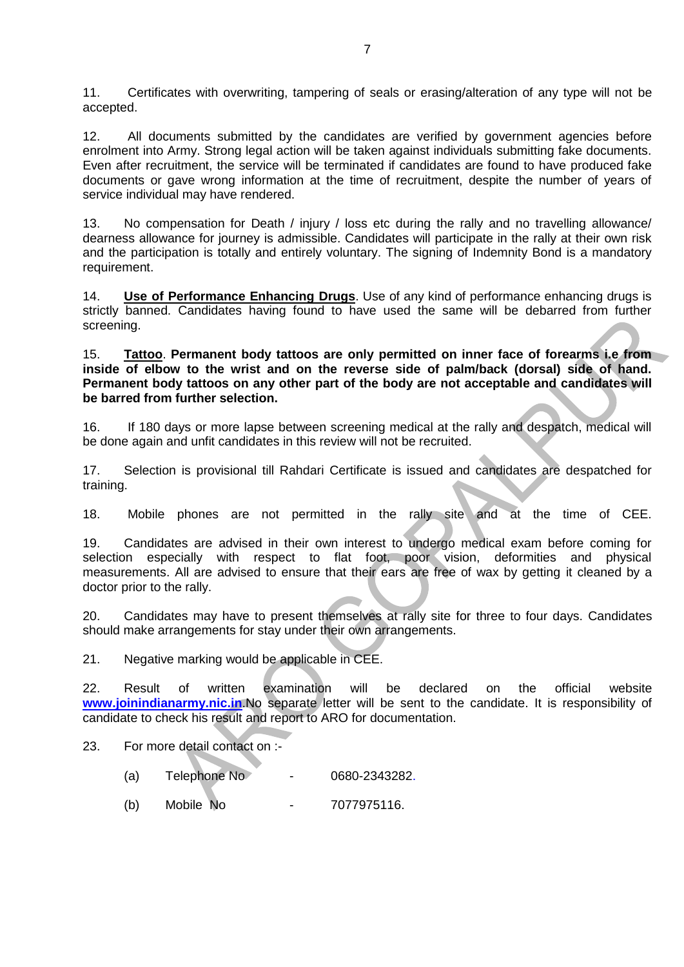11. Certificates with overwriting, tampering of seals or erasing/alteration of any type will not be accepted.

12. All documents submitted by the candidates are verified by government agencies before enrolment into Army. Strong legal action will be taken against individuals submitting fake documents. Even after recruitment, the service will be terminated if candidates are found to have produced fake documents or gave wrong information at the time of recruitment, despite the number of years of service individual may have rendered.

13. No compensation for Death / injury / loss etc during the rally and no travelling allowance/ dearness allowance for journey is admissible. Candidates will participate in the rally at their own risk and the participation is totally and entirely voluntary. The signing of Indemnity Bond is a mandatory requirement.

14. **Use of Performance Enhancing Drugs**. Use of any kind of performance enhancing drugs is strictly banned. Candidates having found to have used the same will be debarred from further screening.

15. **Tattoo**. **Permanent body tattoos are only permitted on inner face of forearms i.e from inside of elbow to the wrist and on the reverse side of palm/back (dorsal) side of hand. Permanent body tattoos on any other part of the body are not acceptable and candidates will be barred from further selection.**

16. If 180 days or more lapse between screening medical at the rally and despatch, medical will be done again and unfit candidates in this review will not be recruited.

17. Selection is provisional till Rahdari Certificate is issued and candidates are despatched for training.

18. Mobile phones are not permitted in the rally site and at the time of CEE.

19. Candidates are advised in their own interest to undergo medical exam before coming for selection especially with respect to flat foot, poor vision, deformities and physical measurements. All are advised to ensure that their ears are free of wax by getting it cleaned by a doctor prior to the rally.

20. Candidates may have to present themselves at rally site for three to four days. Candidates should make arrangements for stay under their own arrangements.

21. Negative marking would be applicable in CEE.

22. Result of written examination will be declared on the official website **[www.joinindianarmy.nic.in](http://www.joinindianarmy.nic.in/)**.No separate letter will be sent to the candidate. It is responsibility of candidate to check his result and report to ARO for documentation.

23. For more detail contact on :-

- (a) Telephone No 0680-2343282.
- (b) Mobile No 7077975116.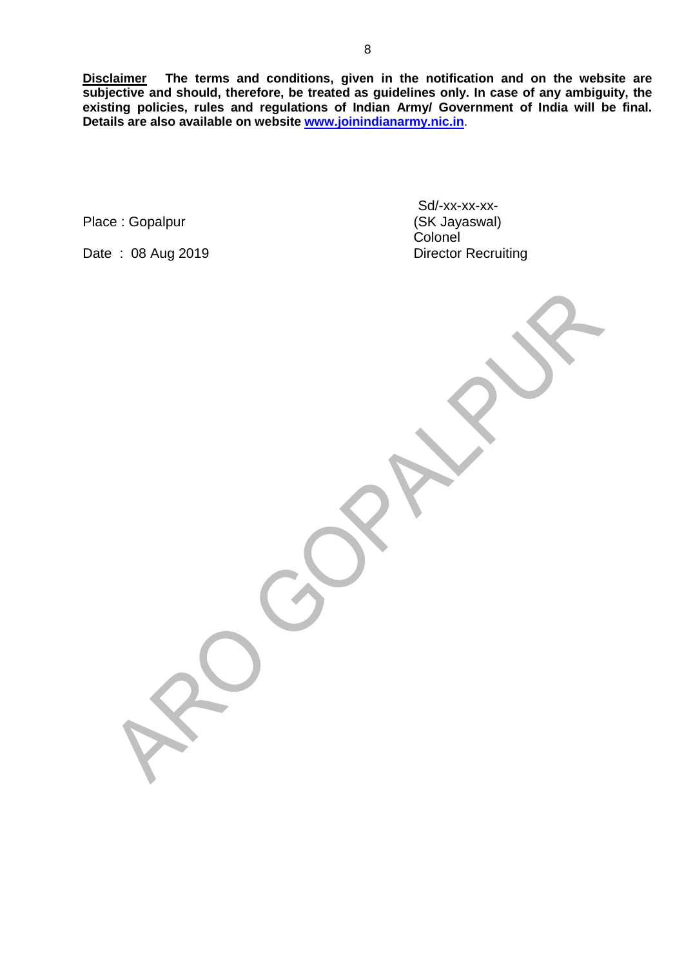**Disclaimer The terms and conditions, given in the notification and on the website are subjective and should, therefore, be treated as guidelines only. In case of any ambiguity, the existing policies, rules and regulations of Indian Army/ Government of India will be final. Details are also available on website [www.joinindianarmy.nic.in](http://www.joinindianarmy.nic.in/)**.

Place : Gopalpur

Date: 08 Aug 2019

Sd/-xx-xx-xx-<br>(SK Jayaswal) Colonel<br>Director Recruiting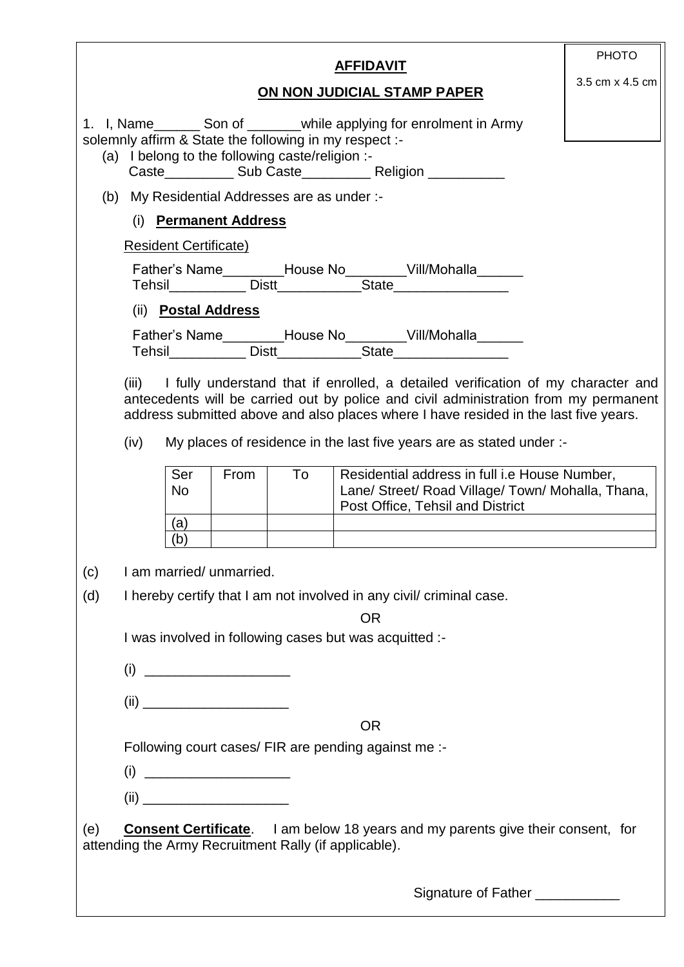| <b>AFFIDAVIT</b>                                                                                                                                                                                                                                                                                                                                       | <b>PHOTO</b>                                         |  |  |  |  |  |  |  |
|--------------------------------------------------------------------------------------------------------------------------------------------------------------------------------------------------------------------------------------------------------------------------------------------------------------------------------------------------------|------------------------------------------------------|--|--|--|--|--|--|--|
| ON NON JUDICIAL STAMP PAPER                                                                                                                                                                                                                                                                                                                            | 3.5 cm x 4.5 cm                                      |  |  |  |  |  |  |  |
| 1. I, Name ________ Son of _________ while applying for enrolment in Army<br>solemnly affirm & State the following in my respect :-<br>(a) I belong to the following caste/religion :-                                                                                                                                                                 |                                                      |  |  |  |  |  |  |  |
| (b) My Residential Addresses are as under :-                                                                                                                                                                                                                                                                                                           |                                                      |  |  |  |  |  |  |  |
| (i) Permanent Address                                                                                                                                                                                                                                                                                                                                  |                                                      |  |  |  |  |  |  |  |
| <b>Resident Certificate)</b>                                                                                                                                                                                                                                                                                                                           |                                                      |  |  |  |  |  |  |  |
|                                                                                                                                                                                                                                                                                                                                                        |                                                      |  |  |  |  |  |  |  |
| (ii) Postal Address                                                                                                                                                                                                                                                                                                                                    |                                                      |  |  |  |  |  |  |  |
|                                                                                                                                                                                                                                                                                                                                                        |                                                      |  |  |  |  |  |  |  |
| (iii) I fully understand that if enrolled, a detailed verification of my character and<br>antecedents will be carried out by police and civil administration from my permanent<br>address submitted above and also places where I have resided in the last five years.<br>My places of residence in the last five years are as stated under :-<br>(iv) |                                                      |  |  |  |  |  |  |  |
| Ser<br>From<br>To<br>Residential address in full i.e House Number,<br>Lane/ Street/ Road Village/ Town/ Mohalla, Thana,<br><b>No</b><br>Post Office, Tehsil and District<br>(a)                                                                                                                                                                        |                                                      |  |  |  |  |  |  |  |
| (b)                                                                                                                                                                                                                                                                                                                                                    |                                                      |  |  |  |  |  |  |  |
| I am married/ unmarried.<br>(c)                                                                                                                                                                                                                                                                                                                        |                                                      |  |  |  |  |  |  |  |
| (d)<br>I hereby certify that I am not involved in any civil criminal case.                                                                                                                                                                                                                                                                             |                                                      |  |  |  |  |  |  |  |
| <b>OR</b>                                                                                                                                                                                                                                                                                                                                              |                                                      |  |  |  |  |  |  |  |
| I was involved in following cases but was acquitted :-                                                                                                                                                                                                                                                                                                 |                                                      |  |  |  |  |  |  |  |
|                                                                                                                                                                                                                                                                                                                                                        |                                                      |  |  |  |  |  |  |  |
|                                                                                                                                                                                                                                                                                                                                                        |                                                      |  |  |  |  |  |  |  |
| <b>OR</b>                                                                                                                                                                                                                                                                                                                                              |                                                      |  |  |  |  |  |  |  |
|                                                                                                                                                                                                                                                                                                                                                        | Following court cases/ FIR are pending against me :- |  |  |  |  |  |  |  |
|                                                                                                                                                                                                                                                                                                                                                        |                                                      |  |  |  |  |  |  |  |
|                                                                                                                                                                                                                                                                                                                                                        |                                                      |  |  |  |  |  |  |  |
| <b>Consent Certificate.</b><br>I am below 18 years and my parents give their consent, for<br>(e)<br>attending the Army Recruitment Rally (if applicable).                                                                                                                                                                                              |                                                      |  |  |  |  |  |  |  |
| Signature of Father ___________                                                                                                                                                                                                                                                                                                                        |                                                      |  |  |  |  |  |  |  |